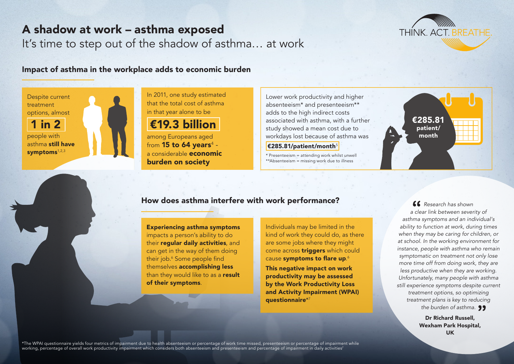# A shadow at work – asthma exposed

It's time to step out of the shadow of asthma… at work



#### Impact of asthma in the workplace adds to economic burden



In 2011, one study estimated that the total cost of asthma in that year alone to be

€19.3 billion

among Europeans aged from **15 to 64 years** $^4$  a considerable economic burden on society

Lower work productivity and higher absenteeism\* and presenteeism\*\* adds to the high indirect costs associated with asthma, with a further study showed a mean cost due to workdays lost because of asthma was

 $\epsilon$ 285.81/patient/month<sup>5</sup>

\* Presenteeism = attending work whilst unwell \*\*Absenteeism = missing work due to illness



#### How does asthma interfere with work performance?

Experiencing asthma symptoms impacts a person's ability to do their **regular daily activities**, and can get in the way of them doing their job.6 Some people find themselves accomplishing less than they would like to as a result of their symptoms.

Individuals may be limited in the kind of work they could do, as there are some jobs where they might come across **triggers** which could cause symptoms to flare up.<sup>6</sup>

This negative impact on work productivity may be assessed by the Work Productivity Loss and Activity Impairment (WPAI) questionnaire\*7

*Research has shown a clear link between severity of asthma symptoms and an individual's ability to function at work, during times when they may be caring for children, or at school. In the working environment for instance, people with asthma who remain symptomatic on treatment not only lose more time off from doing work, they are less productive when they are working. Unfortunately, many people with asthma still experience symptoms despite current treatment options, so optimizing treatment plans is key to reducing the burden of asthma.*

> Dr Richard Russell, Wexham Park Hospital, UK

\*The WPAI questionnaire yields four metrics of impairment due to health absenteeism or percentage of work time missed, presenteeism or percentage of impairment while working, percentage of overall work productivity impairment which considers both absenteeism and presenteeism and percentage of impairment in daily activities